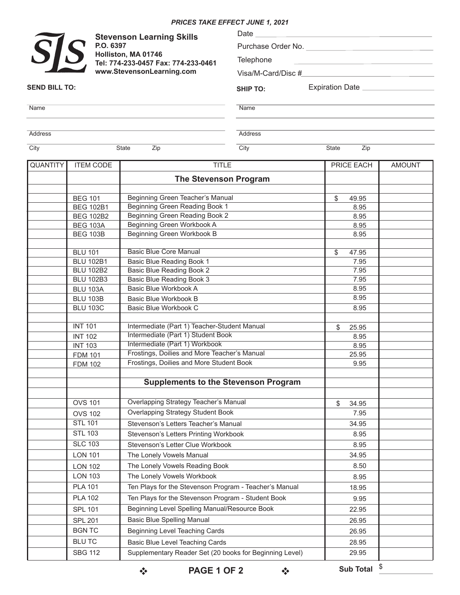## *PRICES TAKE EFFECT JUNE 1, 2021*

|                           | <b>Stevenson Learning Skills</b>                                                                                 |                                              | Date            |                       |               |  |
|---------------------------|------------------------------------------------------------------------------------------------------------------|----------------------------------------------|-----------------|-----------------------|---------------|--|
|                           | P.O. 6397                                                                                                        |                                              |                 | Purchase Order No.    |               |  |
|                           | $\widetilde{S}\hspace{-0.1cm}\int\hspace{-0.1cm}S$<br>Holliston, MA 01746<br>Tel: 774-233-0457 Fax: 774-233-0461 |                                              | Telephone       |                       |               |  |
| www.StevensonLearning.com |                                                                                                                  |                                              |                 |                       |               |  |
| <b>SEND BILL TO:</b>      |                                                                                                                  |                                              | <b>SHIP TO:</b> | Expiration Date       |               |  |
| Name                      |                                                                                                                  |                                              | Name            |                       |               |  |
| Address                   |                                                                                                                  |                                              | Address         |                       |               |  |
| City                      | State<br>Zip                                                                                                     |                                              | City            | State<br>Zip          |               |  |
| <b>QUANTITY</b>           | <b>ITEM CODE</b>                                                                                                 | <b>TITLE</b>                                 |                 | PRICE EACH            | <b>AMOUNT</b> |  |
|                           |                                                                                                                  | <b>The Stevenson Program</b>                 |                 |                       |               |  |
|                           |                                                                                                                  |                                              |                 |                       |               |  |
|                           | <b>BEG 101</b>                                                                                                   | Beginning Green Teacher's Manual             |                 | \$<br>49.95           |               |  |
|                           | <b>BEG 102B1</b>                                                                                                 | Beginning Green Reading Book 1               |                 | 8.95                  |               |  |
|                           | <b>BEG 102B2</b>                                                                                                 | Beginning Green Reading Book 2               |                 | 8.95                  |               |  |
|                           | <b>BEG 103A</b>                                                                                                  | Beginning Green Workbook A                   |                 | 8.95                  |               |  |
|                           | <b>BEG 103B</b>                                                                                                  | Beginning Green Workbook B                   |                 | 8.95                  |               |  |
|                           | <b>BLU 101</b>                                                                                                   | <b>Basic Blue Core Manual</b>                |                 | \$<br>47.95           |               |  |
|                           | <b>BLU 102B1</b>                                                                                                 | Basic Blue Reading Book 1                    |                 | 7.95                  |               |  |
|                           | <b>BLU 102B2</b>                                                                                                 | Basic Blue Reading Book 2                    |                 | 7.95                  |               |  |
|                           | <b>BLU 102B3</b>                                                                                                 | Basic Blue Reading Book 3                    |                 | 7.95                  |               |  |
|                           | <b>BLU 103A</b>                                                                                                  | Basic Blue Workbook A                        |                 | 8.95                  |               |  |
|                           | <b>BLU 103B</b>                                                                                                  | Basic Blue Workbook B                        |                 | 8.95                  |               |  |
|                           | <b>BLU 103C</b>                                                                                                  | Basic Blue Workbook C                        |                 | 8.95                  |               |  |
|                           | <b>INT 101</b>                                                                                                   | Intermediate (Part 1) Teacher-Student Manual |                 | \$<br>25.95           |               |  |
|                           | <b>INT 102</b>                                                                                                   | Intermediate (Part 1) Student Book           |                 | 8.95                  |               |  |
|                           | <b>INT 103</b>                                                                                                   | Intermediate (Part 1) Workbook               |                 | 8.95                  |               |  |
|                           | <b>FDM 101</b>                                                                                                   | Frostings, Doilies and More Teacher's Manual |                 | 25.95                 |               |  |
|                           | <b>FDM 102</b>                                                                                                   | Frostings, Doilies and More Student Book     |                 | 9.95                  |               |  |
|                           |                                                                                                                  |                                              |                 |                       |               |  |
|                           |                                                                                                                  | <b>Supplements to the Stevenson Program</b>  |                 |                       |               |  |
|                           | <b>OVS 101</b>                                                                                                   | Overlapping Strategy Teacher's Manual        |                 | $\mathbb{S}$<br>34.95 |               |  |
|                           | <b>OVS 102</b>                                                                                                   | <b>Overlapping Strategy Student Book</b>     |                 | 7.95                  |               |  |
|                           | <b>STL 101</b>                                                                                                   | Stevenson's Letters Teacher's Manual         |                 | 34.95                 |               |  |
|                           | <b>STL 103</b>                                                                                                   | Stevenson's Letters Printing Workbook        |                 | 8.95                  |               |  |
|                           | <b>SLC 103</b>                                                                                                   | Stevenson's Letter Clue Workbook             |                 | 8.95                  |               |  |
|                           |                                                                                                                  |                                              |                 |                       |               |  |
|                           | <b>LON 101</b>                                                                                                   | The Lonely Vowels Manual                     |                 | 34.95                 |               |  |

LON 102 LON 103 PLA 101 PLA 102 SPL 101 SPL 201 BGN TC BLU TC SBG 112

**PAGE 1 OF 2**  $\rightarrow$  **Sub Total**  $\frac{8}{5}$ 

Supplementary Reader Set (20 books for Beginning Level)

Ten Plays for the Stevenson Program - Teacher's Manual Ten Plays for the Stevenson Program - Student Book Beginning Level Spelling Manual/Resource Book

The Lonely Vowels Reading Book The Lonely Vowels Workbook

Basic Blue Spelling Manual Beginning Level Teaching Cards Basic Blue Level Teaching Cards

8.50 8.95 18.95 9.95 22.95 26.95 26.95 28.95 29.95